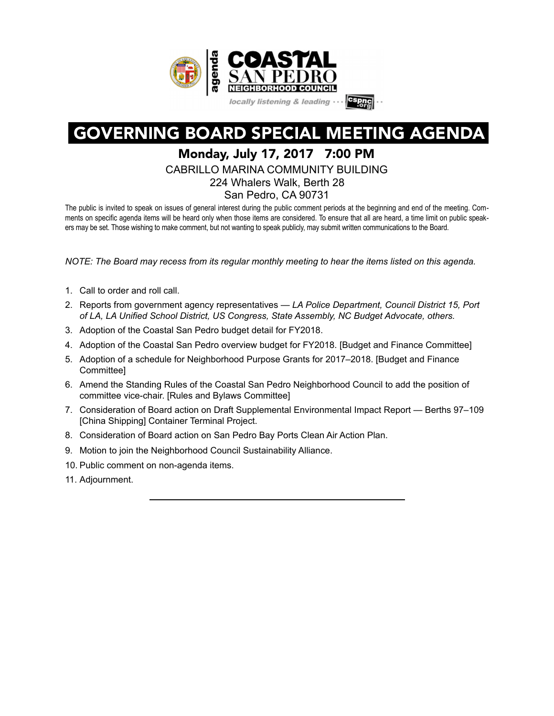

# GOVERNING BOARD SPECIAL MEETING AGENDA

# Monday, July 17, 2017 7:00 PM

CABRILLO MARINA COMMUNITY BUILDING 224 Whalers Walk, Berth 28

San Pedro, CA 90731

The public is invited to speak on issues of general interest during the public comment periods at the beginning and end of the meeting. Comments on specific agenda items will be heard only when those items are considered. To ensure that all are heard, a time limit on public speakers may be set. Those wishing to make comment, but not wanting to speak publicly, may submit written communications to the Board.

*NOTE: The Board may recess from its regular monthly meeting to hear the items listed on this agenda.* 

- 1. Call to order and roll call.
- 2. Reports from government agency representatives *LA Police Department, Council District 15, Port of LA, LA Unified School District, US Congress, State Assembly, NC Budget Advocate, others.*
- 3. Adoption of the Coastal San Pedro budget detail for FY2018.
- 4. Adoption of the Coastal San Pedro overview budget for FY2018. [Budget and Finance Committee]
- 5. Adoption of a schedule for Neighborhood Purpose Grants for 2017–2018. [Budget and Finance Committee]
- 6. Amend the Standing Rules of the Coastal San Pedro Neighborhood Council to add the position of committee vice-chair. [Rules and Bylaws Committee]
- 7. Consideration of Board action on Draft Supplemental Environmental Impact Report Berths 97–109 [China Shipping] Container Terminal Project.
- 8. Consideration of Board action on San Pedro Bay Ports Clean Air Action Plan.
- 9. Motion to join the Neighborhood Council Sustainability Alliance.
- 10. Public comment on non-agenda items.
- 11. Adjournment.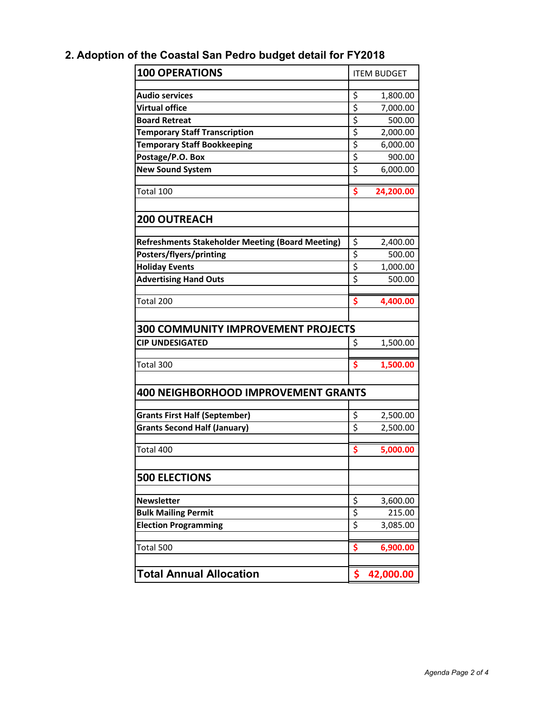# **2. Adoption of the Coastal San Pedro budget detail for FY2018 Coastal Neighborhood Council Proposed Budget for Fiscal Year 2017-2018**

| <b>100 OPERATIONS</b>                                   | <b>ITEM BUDGET</b>                  |           |  |  |  |  |  |
|---------------------------------------------------------|-------------------------------------|-----------|--|--|--|--|--|
| <b>Audio services</b>                                   | \$                                  | 1,800.00  |  |  |  |  |  |
| <b>Virtual office</b>                                   | \$                                  | 7,000.00  |  |  |  |  |  |
| <b>Board Retreat</b>                                    | \$                                  | 500.00    |  |  |  |  |  |
| <b>Temporary Staff Transcription</b>                    | \$                                  | 2,000.00  |  |  |  |  |  |
| <b>Temporary Staff Bookkeeping</b>                      | \$                                  | 6,000.00  |  |  |  |  |  |
| Postage/P.O. Box                                        | \$                                  | 900.00    |  |  |  |  |  |
| <b>New Sound System</b>                                 | \$                                  | 6,000.00  |  |  |  |  |  |
|                                                         |                                     |           |  |  |  |  |  |
| Total 100                                               | \$                                  | 24,200.00 |  |  |  |  |  |
| <b>200 OUTREACH</b>                                     |                                     |           |  |  |  |  |  |
| <b>Refreshments Stakeholder Meeting (Board Meeting)</b> | \$                                  | 2,400.00  |  |  |  |  |  |
| Posters/flyers/printing                                 | \$                                  | 500.00    |  |  |  |  |  |
| <b>Holiday Events</b>                                   | \$                                  | 1,000.00  |  |  |  |  |  |
| <b>Advertising Hand Outs</b>                            | $\overline{\boldsymbol{\varsigma}}$ | 500.00    |  |  |  |  |  |
|                                                         |                                     |           |  |  |  |  |  |
| Total 200                                               | \$                                  | 4,400.00  |  |  |  |  |  |
|                                                         |                                     |           |  |  |  |  |  |
| <b>300 COMMUNITY IMPROVEMENT PROJECTS</b>               |                                     |           |  |  |  |  |  |
| <b>CIP UNDESIGATED</b>                                  | \$                                  | 1,500.00  |  |  |  |  |  |
|                                                         |                                     |           |  |  |  |  |  |
| Total 300                                               | \$                                  | 1,500.00  |  |  |  |  |  |
| <b>400 NEIGHBORHOOD IMPROVEMENT GRANTS</b>              |                                     |           |  |  |  |  |  |
| <b>Grants First Half (September)</b>                    | \$                                  | 2,500.00  |  |  |  |  |  |
| <b>Grants Second Half (January)</b>                     | \$                                  | 2,500.00  |  |  |  |  |  |
|                                                         |                                     |           |  |  |  |  |  |
| Total 400                                               | \$                                  | 5,000.00  |  |  |  |  |  |
| <b>500 ELECTIONS</b>                                    |                                     |           |  |  |  |  |  |
|                                                         |                                     |           |  |  |  |  |  |
| <b>Newsletter</b>                                       | \$                                  | 3,600.00  |  |  |  |  |  |
| <b>Bulk Mailing Permit</b>                              | \$                                  | 215.00    |  |  |  |  |  |
| <b>Election Programming</b>                             | \$                                  | 3,085.00  |  |  |  |  |  |
|                                                         |                                     |           |  |  |  |  |  |
| Total 500                                               | \$                                  | 6,900.00  |  |  |  |  |  |
| <b>Total Annual Allocation</b>                          | \$                                  | 42,000.00 |  |  |  |  |  |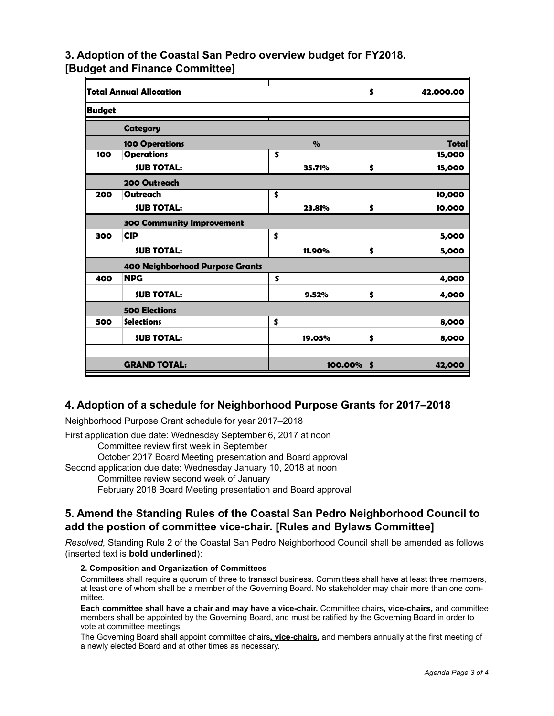**Budget for Fiscal Year 2017-2018**

# 3. Adoption of the Coastal Saluy Putuget & Frie an be algent for the Y2018.

**[Budget and Finance Committee]**

|                                 | <b>Total Annual Allocation</b>   |    |                           | \$ | 42,000.00    |  |  |
|---------------------------------|----------------------------------|----|---------------------------|----|--------------|--|--|
| <b>Budget</b>                   |                                  |    |                           |    |              |  |  |
|                                 | Category                         |    |                           |    |              |  |  |
|                                 | <b>100 Operations</b>            |    | $\mathbf{Q}_{\mathbf{O}}$ |    | <b>Total</b> |  |  |
| 100                             | <b>Operations</b>                | \$ |                           |    | 15,000       |  |  |
|                                 | <b>SUB TOTAL:</b>                |    | 35.71%                    | \$ | 15,000       |  |  |
|                                 | 200 Outreach                     |    |                           |    |              |  |  |
| 200                             | Outreach                         | \$ |                           |    | 10,000       |  |  |
|                                 | <b>SUB TOTAL:</b>                |    | 23.81%                    | \$ | 10,000       |  |  |
|                                 | <b>300 Community Improvement</b> |    |                           |    |              |  |  |
| 300                             | <b>CIP</b>                       | \$ |                           |    | 5,000        |  |  |
|                                 | <b>SUB TOTAL:</b>                |    | 11.90%                    | \$ | 5,000        |  |  |
| 400 Neighborhood Purpose Grants |                                  |    |                           |    |              |  |  |
| 400                             | <b>NPG</b>                       | \$ |                           |    | 4,000        |  |  |
|                                 | <b>SUB TOTAL:</b>                |    | 9.52%                     | \$ | 4,000        |  |  |
|                                 | <b>500 Elections</b>             |    |                           |    |              |  |  |
| 500                             | <b>Selections</b>                | \$ |                           |    | 8,000        |  |  |
|                                 | <b>SUB TOTAL:</b>                |    | 19.05%                    | \$ | 8,000        |  |  |
|                                 |                                  |    |                           |    |              |  |  |
|                                 | <b>GRAND TOTAL:</b>              |    | 100.00%                   | \$ | 42,000       |  |  |
|                                 |                                  |    |                           |    |              |  |  |

#### **4. Adoption of a schedule for Neighborhood Purpose Grants for 2017–2018**

Neighborhood Purpose Grant schedule for year 2017–2018

First application due date: Wednesday September 6, 2017 at noon Committee review first week in September

October 2017 Board Meeting presentation and Board approval

Second application due date: Wednesday January 10, 2018 at noon

Committee review second week of January

February 2018 Board Meeting presentation and Board approval

# **5. Amend the Standing Rules of the Coastal San Pedro Neighborhood Council to add the postion of committee vice-chair. [Rules and Bylaws Committee]**

*Resolved,* Standing Rule 2 of the Coastal San Pedro Neighborhood Council shall be amended as follows (inserted text is **bold underlined**):

#### **2. Composition and Organization of Committees**

Committees shall require a quorum of three to transact business. Committees shall have at least three members, at least one of whom shall be a member of the Governing Board. No stakeholder may chair more than one committee.

**Each committee shall have a chair and may have a vice-chair.** Committee chairs**, vice-chairs,** and committee members shall be appointed by the Governing Board, and must be ratified by the Governing Board in order to vote at committee meetings.

The Governing Board shall appoint committee chairs**, vice-chairs,** and members annually at the first meeting of a newly elected Board and at other times as necessary.